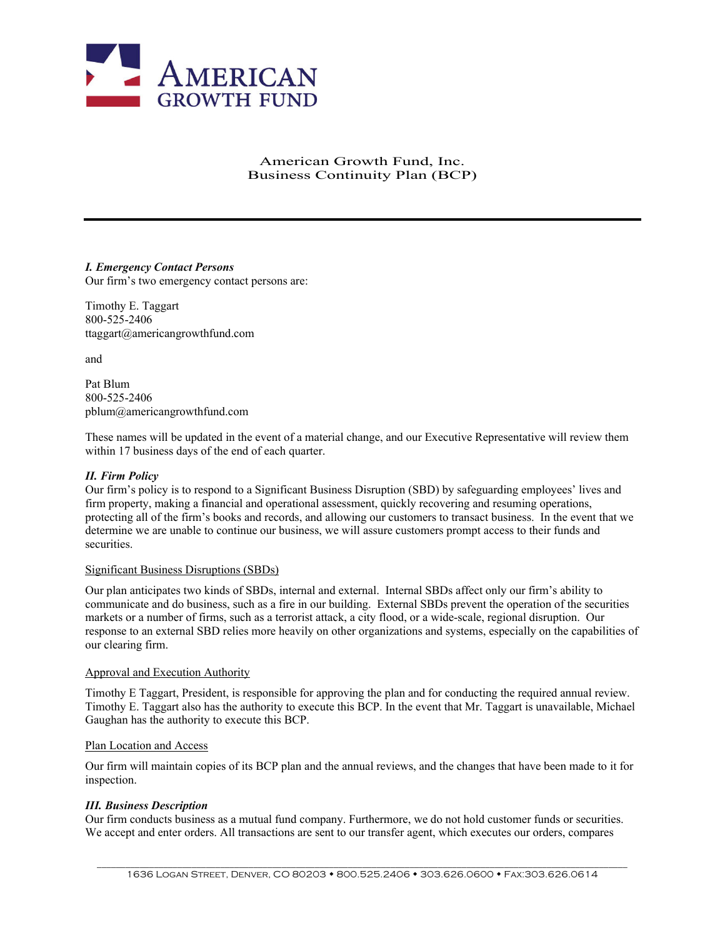

# American Growth Fund, Inc. Business Continuity Plan (BCP)

*I. Emergency Contact Persons*  Our firm's two emergency contact persons are:

Timothy E. Taggart 800-525-2406 ttaggart@americangrowthfund.com

and

Pat Blum 800-525-2406 pblum@americangrowthfund.com

These names will be updated in the event of a material change, and our Executive Representative will review them within 17 business days of the end of each quarter.

## *II. Firm Policy*

Our firm's policy is to respond to a Significant Business Disruption (SBD) by safeguarding employees' lives and firm property, making a financial and operational assessment, quickly recovering and resuming operations, protecting all of the firm's books and records, and allowing our customers to transact business. In the event that we determine we are unable to continue our business, we will assure customers prompt access to their funds and securities.

## Significant Business Disruptions (SBDs)

Our plan anticipates two kinds of SBDs, internal and external. Internal SBDs affect only our firm's ability to communicate and do business, such as a fire in our building. External SBDs prevent the operation of the securities markets or a number of firms, such as a terrorist attack, a city flood, or a wide-scale, regional disruption. Our response to an external SBD relies more heavily on other organizations and systems, especially on the capabilities of our clearing firm.

### Approval and Execution Authority

Timothy E Taggart, President, is responsible for approving the plan and for conducting the required annual review. Timothy E. Taggart also has the authority to execute this BCP. In the event that Mr. Taggart is unavailable, Michael Gaughan has the authority to execute this BCP.

## Plan Location and Access

Our firm will maintain copies of its BCP plan and the annual reviews, and the changes that have been made to it for inspection.

## *III. Business Description*

Our firm conducts business as a mutual fund company. Furthermore, we do not hold customer funds or securities. We accept and enter orders. All transactions are sent to our transfer agent, which executes our orders, compares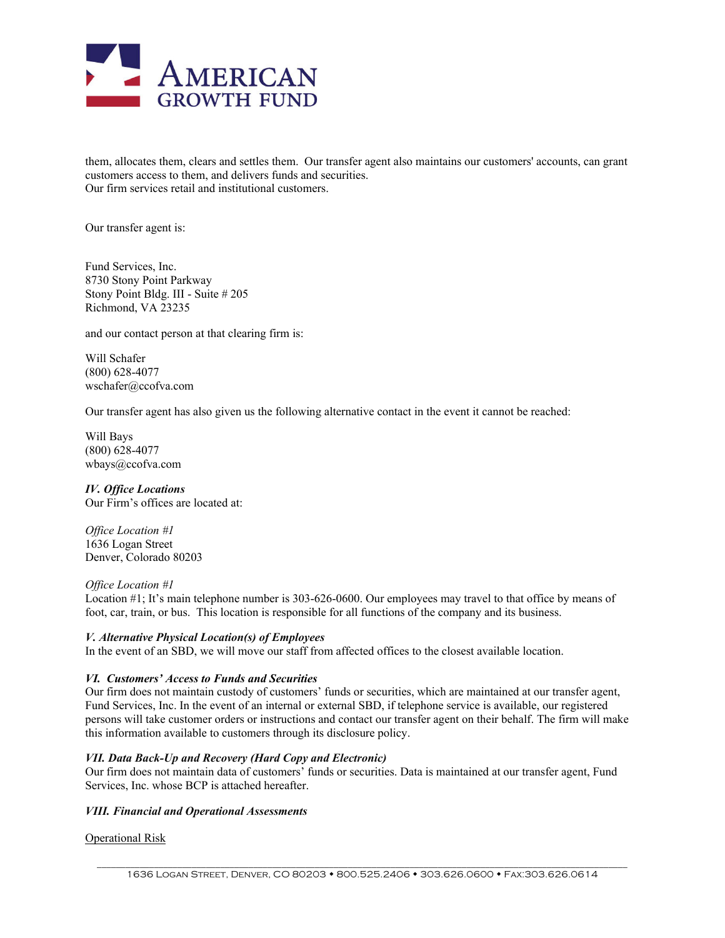

them, allocates them, clears and settles them. Our transfer agent also maintains our customers' accounts, can grant customers access to them, and delivers funds and securities. Our firm services retail and institutional customers.

Our transfer agent is:

Fund Services, Inc. 8730 Stony Point Parkway Stony Point Bldg. III - Suite # 205 Richmond, VA 23235

and our contact person at that clearing firm is:

Will Schafer (800) 628-4077 wschafer@ccofva.com

Our transfer agent has also given us the following alternative contact in the event it cannot be reached:

Will Bays (800) 628-4077 wbays@ccofva.com

*IV. Office Locations*  Our Firm's offices are located at:

*Office Location #1*  1636 Logan Street Denver, Colorado 80203

### *Office Location #1*

Location #1; It's main telephone number is 303-626-0600. Our employees may travel to that office by means of foot, car, train, or bus. This location is responsible for all functions of the company and its business.

#### *V. Alternative Physical Location(s) of Employees*

In the event of an SBD, we will move our staff from affected offices to the closest available location.

### *VI. Customers' Access to Funds and Securities*

Our firm does not maintain custody of customers' funds or securities, which are maintained at our transfer agent, Fund Services, Inc. In the event of an internal or external SBD, if telephone service is available, our registered persons will take customer orders or instructions and contact our transfer agent on their behalf. The firm will make this information available to customers through its disclosure policy.

### *VII. Data Back-Up and Recovery (Hard Copy and Electronic)*

Our firm does not maintain data of customers' funds or securities. Data is maintained at our transfer agent, Fund Services, Inc. whose BCP is attached hereafter.

# *VIII. Financial and Operational Assessments*

#### Operational Risk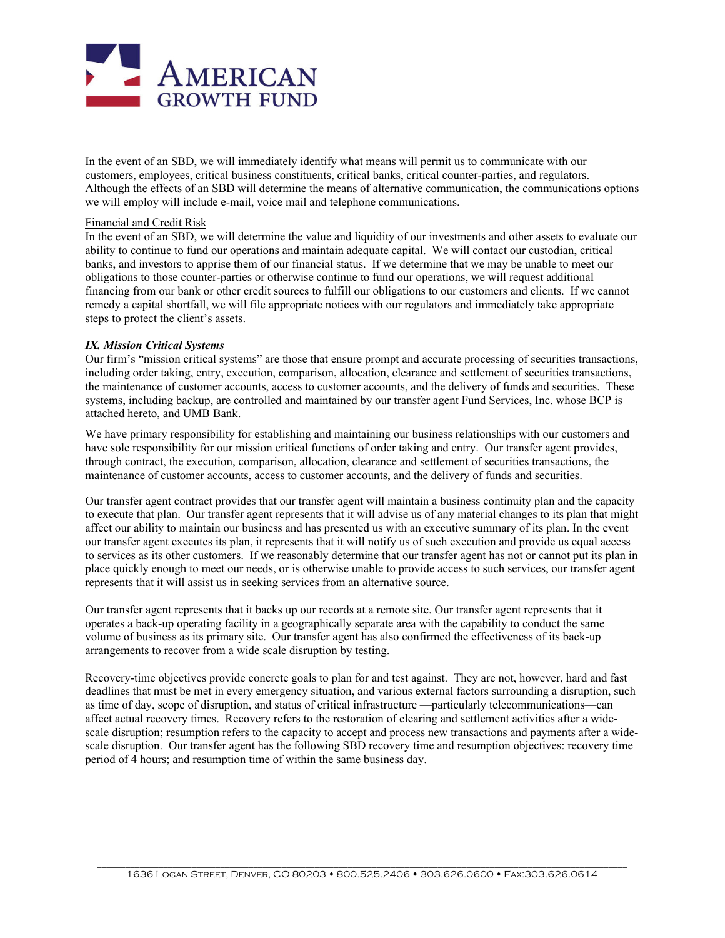

In the event of an SBD, we will immediately identify what means will permit us to communicate with our customers, employees, critical business constituents, critical banks, critical counter-parties, and regulators. Although the effects of an SBD will determine the means of alternative communication, the communications options we will employ will include e-mail, voice mail and telephone communications.

### Financial and Credit Risk

In the event of an SBD, we will determine the value and liquidity of our investments and other assets to evaluate our ability to continue to fund our operations and maintain adequate capital. We will contact our custodian, critical banks, and investors to apprise them of our financial status. If we determine that we may be unable to meet our obligations to those counter-parties or otherwise continue to fund our operations, we will request additional financing from our bank or other credit sources to fulfill our obligations to our customers and clients. If we cannot remedy a capital shortfall, we will file appropriate notices with our regulators and immediately take appropriate steps to protect the client's assets.

### *IX. Mission Critical Systems*

Our firm's "mission critical systems" are those that ensure prompt and accurate processing of securities transactions, including order taking, entry, execution, comparison, allocation, clearance and settlement of securities transactions, the maintenance of customer accounts, access to customer accounts, and the delivery of funds and securities. These systems, including backup, are controlled and maintained by our transfer agent Fund Services, Inc. whose BCP is attached hereto, and UMB Bank.

We have primary responsibility for establishing and maintaining our business relationships with our customers and have sole responsibility for our mission critical functions of order taking and entry. Our transfer agent provides, through contract, the execution, comparison, allocation, clearance and settlement of securities transactions, the maintenance of customer accounts, access to customer accounts, and the delivery of funds and securities.

Our transfer agent contract provides that our transfer agent will maintain a business continuity plan and the capacity to execute that plan. Our transfer agent represents that it will advise us of any material changes to its plan that might affect our ability to maintain our business and has presented us with an executive summary of its plan. In the event our transfer agent executes its plan, it represents that it will notify us of such execution and provide us equal access to services as its other customers. If we reasonably determine that our transfer agent has not or cannot put its plan in place quickly enough to meet our needs, or is otherwise unable to provide access to such services, our transfer agent represents that it will assist us in seeking services from an alternative source.

Our transfer agent represents that it backs up our records at a remote site. Our transfer agent represents that it operates a back-up operating facility in a geographically separate area with the capability to conduct the same volume of business as its primary site. Our transfer agent has also confirmed the effectiveness of its back-up arrangements to recover from a wide scale disruption by testing.

Recovery-time objectives provide concrete goals to plan for and test against. They are not, however, hard and fast deadlines that must be met in every emergency situation, and various external factors surrounding a disruption, such as time of day, scope of disruption, and status of critical infrastructure —particularly telecommunications—can affect actual recovery times. Recovery refers to the restoration of clearing and settlement activities after a widescale disruption; resumption refers to the capacity to accept and process new transactions and payments after a widescale disruption. Our transfer agent has the following SBD recovery time and resumption objectives: recovery time period of 4 hours; and resumption time of within the same business day.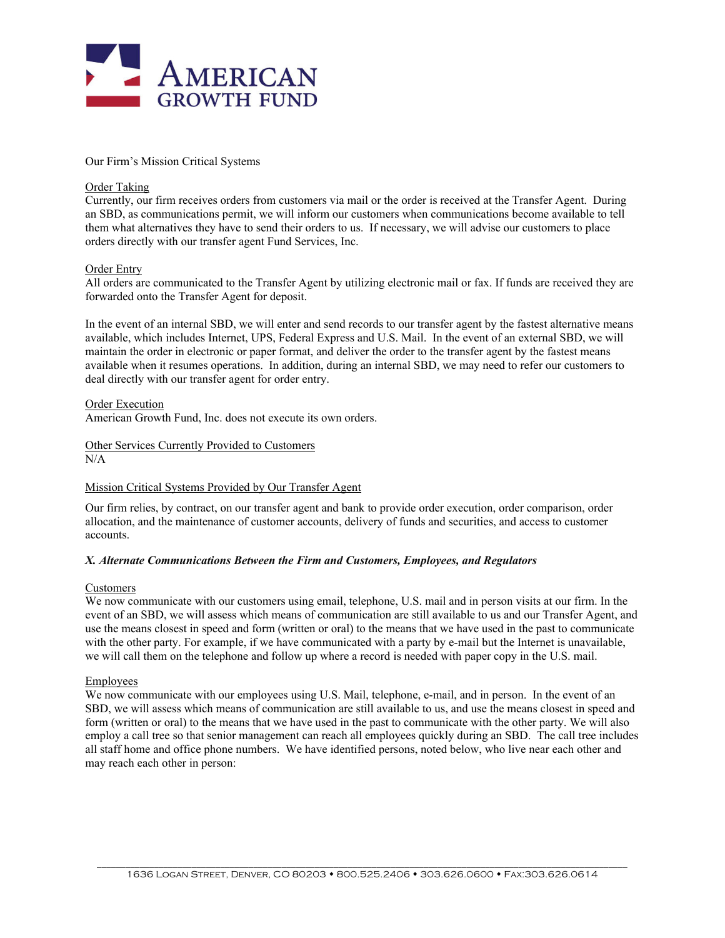

Our Firm's Mission Critical Systems

### Order Taking

Currently, our firm receives orders from customers via mail or the order is received at the Transfer Agent. During an SBD, as communications permit, we will inform our customers when communications become available to tell them what alternatives they have to send their orders to us. If necessary, we will advise our customers to place orders directly with our transfer agent Fund Services, Inc.

### Order Entry

All orders are communicated to the Transfer Agent by utilizing electronic mail or fax. If funds are received they are forwarded onto the Transfer Agent for deposit.

In the event of an internal SBD, we will enter and send records to our transfer agent by the fastest alternative means available, which includes Internet, UPS, Federal Express and U.S. Mail. In the event of an external SBD, we will maintain the order in electronic or paper format, and deliver the order to the transfer agent by the fastest means available when it resumes operations. In addition, during an internal SBD, we may need to refer our customers to deal directly with our transfer agent for order entry.

Order Execution

American Growth Fund, Inc. does not execute its own orders.

#### Other Services Currently Provided to Customers  $N/A$

## Mission Critical Systems Provided by Our Transfer Agent

Our firm relies, by contract, on our transfer agent and bank to provide order execution, order comparison, order allocation, and the maintenance of customer accounts, delivery of funds and securities, and access to customer accounts.

### *X. Alternate Communications Between the Firm and Customers, Employees, and Regulators*

### Customers

We now communicate with our customers using email, telephone, U.S. mail and in person visits at our firm. In the event of an SBD, we will assess which means of communication are still available to us and our Transfer Agent, and use the means closest in speed and form (written or oral) to the means that we have used in the past to communicate with the other party. For example, if we have communicated with a party by e-mail but the Internet is unavailable, we will call them on the telephone and follow up where a record is needed with paper copy in the U.S. mail.

### Employees

We now communicate with our employees using U.S. Mail, telephone, e-mail, and in person. In the event of an SBD, we will assess which means of communication are still available to us, and use the means closest in speed and form (written or oral) to the means that we have used in the past to communicate with the other party. We will also employ a call tree so that senior management can reach all employees quickly during an SBD. The call tree includes all staff home and office phone numbers. We have identified persons, noted below, who live near each other and may reach each other in person: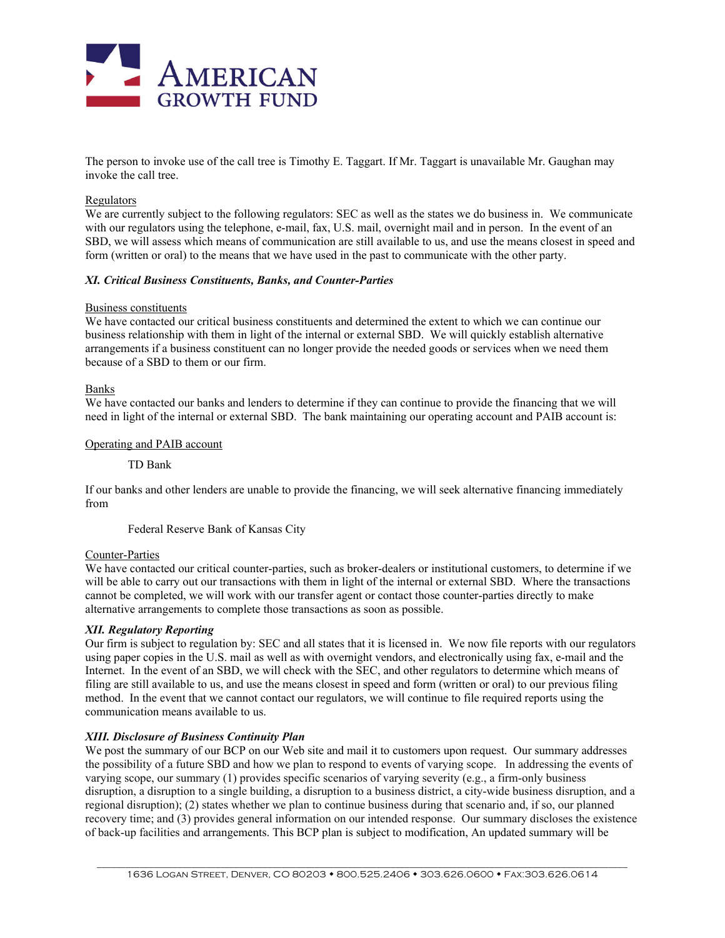

The person to invoke use of the call tree is Timothy E. Taggart. If Mr. Taggart is unavailable Mr. Gaughan may invoke the call tree.

### Regulators

We are currently subject to the following regulators: SEC as well as the states we do business in.We communicate with our regulators using the telephone, e-mail, fax, U.S. mail, overnight mail and in person. In the event of an SBD, we will assess which means of communication are still available to us, and use the means closest in speed and form (written or oral) to the means that we have used in the past to communicate with the other party.

### *XI. Critical Business Constituents, Banks, and Counter-Parties*

#### Business constituents

We have contacted our critical business constituents and determined the extent to which we can continue our business relationship with them in light of the internal or external SBD. We will quickly establish alternative arrangements if a business constituent can no longer provide the needed goods or services when we need them because of a SBD to them or our firm.

#### Banks

We have contacted our banks and lenders to determine if they can continue to provide the financing that we will need in light of the internal or external SBD. The bank maintaining our operating account and PAIB account is:

### Operating and PAIB account

TD Bank

If our banks and other lenders are unable to provide the financing, we will seek alternative financing immediately from

Federal Reserve Bank of Kansas City

### Counter-Parties

We have contacted our critical counter-parties, such as broker-dealers or institutional customers, to determine if we will be able to carry out our transactions with them in light of the internal or external SBD. Where the transactions cannot be completed, we will work with our transfer agent or contact those counter-parties directly to make alternative arrangements to complete those transactions as soon as possible.

### *XII. Regulatory Reporting*

Our firm is subject to regulation by: SEC and all states that it is licensed in. We now file reports with our regulators using paper copies in the U.S. mail as well as with overnight vendors, and electronically using fax, e-mail and the Internet. In the event of an SBD, we will check with the SEC, and other regulators to determine which means of filing are still available to us, and use the means closest in speed and form (written or oral) to our previous filing method. In the event that we cannot contact our regulators, we will continue to file required reports using the communication means available to us.

### *XIII. Disclosure of Business Continuity Plan*

We post the summary of our BCP on our Web site and mail it to customers upon request. Our summary addresses the possibility of a future SBD and how we plan to respond to events of varying scope. In addressing the events of varying scope, our summary (1) provides specific scenarios of varying severity (e.g., a firm-only business disruption, a disruption to a single building, a disruption to a business district, a city-wide business disruption, and a regional disruption); (2) states whether we plan to continue business during that scenario and, if so, our planned recovery time; and (3) provides general information on our intended response. Our summary discloses the existence of back-up facilities and arrangements. This BCP plan is subject to modification, An updated summary will be